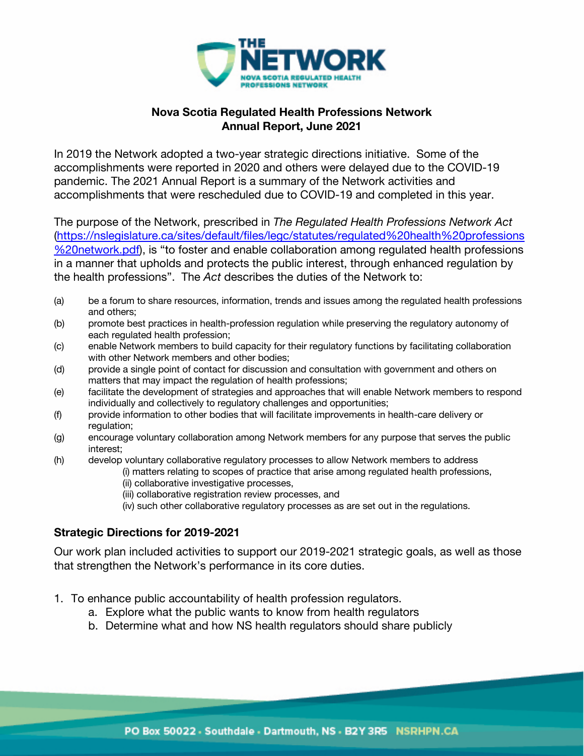

## **Nova Scotia Regulated Health Professions Network Annual Report, June 2021**

In 2019 the Network adopted a two-year strategic directions initiative. Some of the accomplishments were reported in 2020 and others were delayed due to the COVID-19 pandemic. The 2021 Annual Report is a summary of the Network activities and accomplishments that were rescheduled due to COVID-19 and completed in this year.

The purpose of the Network, prescribed in *The Regulated Health Professions Network Act* (https://nslegislature.ca/sites/default/files/legc/statutes/regulated%20health%20professions %20network.pdf), is "to foster and enable collaboration among regulated health professions in a manner that upholds and protects the public interest, through enhanced regulation by the health professions". The *Act* describes the duties of the Network to:

- (a) be a forum to share resources, information, trends and issues among the regulated health professions and others;
- (b) promote best practices in health-profession regulation while preserving the regulatory autonomy of each regulated health profession;
- (c) enable Network members to build capacity for their regulatory functions by facilitating collaboration with other Network members and other bodies;
- (d) provide a single point of contact for discussion and consultation with government and others on matters that may impact the regulation of health professions;
- (e) facilitate the development of strategies and approaches that will enable Network members to respond individually and collectively to regulatory challenges and opportunities;
- (f) provide information to other bodies that will facilitate improvements in health-care delivery or regulation;
- (g) encourage voluntary collaboration among Network members for any purpose that serves the public interest;
- (h) develop voluntary collaborative regulatory processes to allow Network members to address
	- (i) matters relating to scopes of practice that arise among regulated health professions,
		- (ii) collaborative investigative processes,
		- (iii) collaborative registration review processes, and
		- (iv) such other collaborative regulatory processes as are set out in the regulations.

## **Strategic Directions for 2019-2021**

Our work plan included activities to support our 2019-2021 strategic goals, as well as those that strengthen the Network's performance in its core duties.

- 1. To enhance public accountability of health profession regulators.
	- a. Explore what the public wants to know from health regulators
	- b. Determine what and how NS health regulators should share publicly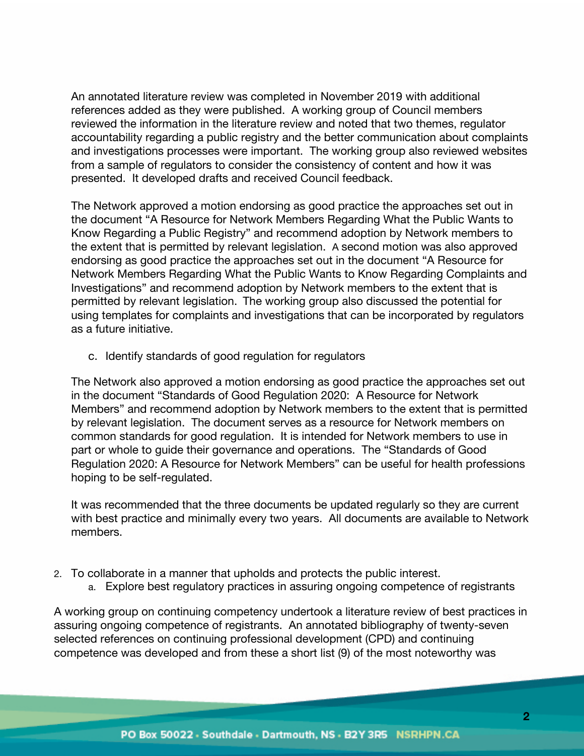An annotated literature review was completed in November 2019 with additional references added as they were published. A working group of Council members reviewed the information in the literature review and noted that two themes, regulator accountability regarding a public registry and the better communication about complaints and investigations processes were important. The working group also reviewed websites from a sample of regulators to consider the consistency of content and how it was presented. It developed drafts and received Council feedback.

The Network approved a motion endorsing as good practice the approaches set out in the document "A Resource for Network Members Regarding What the Public Wants to Know Regarding a Public Registry" and recommend adoption by Network members to the extent that is permitted by relevant legislation. A second motion was also approved endorsing as good practice the approaches set out in the document "A Resource for Network Members Regarding What the Public Wants to Know Regarding Complaints and Investigations" and recommend adoption by Network members to the extent that is permitted by relevant legislation. The working group also discussed the potential for using templates for complaints and investigations that can be incorporated by regulators as a future initiative.

c. Identify standards of good regulation for regulators

The Network also approved a motion endorsing as good practice the approaches set out in the document "Standards of Good Regulation 2020: A Resource for Network Members" and recommend adoption by Network members to the extent that is permitted by relevant legislation. The document serves as a resource for Network members on common standards for good regulation. It is intended for Network members to use in part or whole to guide their governance and operations. The "Standards of Good Regulation 2020: A Resource for Network Members" can be useful for health professions hoping to be self-regulated.

It was recommended that the three documents be updated regularly so they are current with best practice and minimally every two years. All documents are available to Network members.

- 2. To collaborate in a manner that upholds and protects the public interest.
	- a. Explore best regulatory practices in assuring ongoing competence of registrants

A working group on continuing competency undertook a literature review of best practices in assuring ongoing competence of registrants. An annotated bibliography of twenty-seven selected references on continuing professional development (CPD) and continuing competence was developed and from these a short list (9) of the most noteworthy was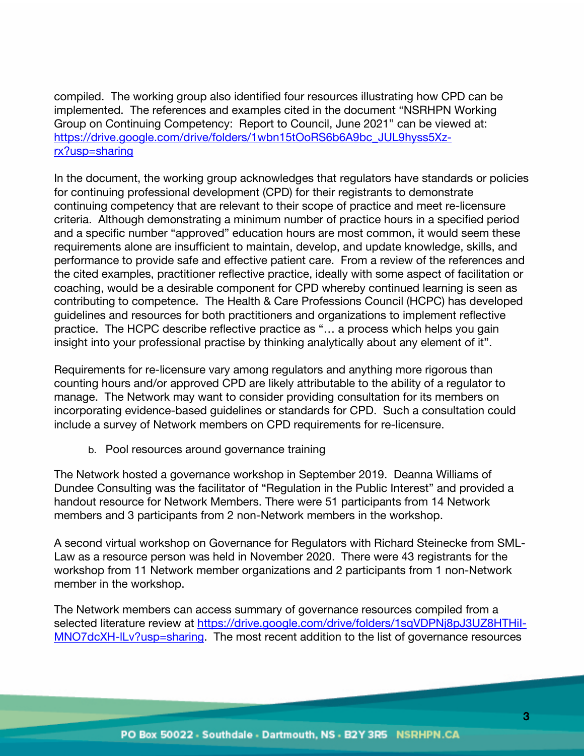compiled. The working group also identified four resources illustrating how CPD can be implemented. The references and examples cited in the document "NSRHPN Working Group on Continuing Competency: Report to Council, June 2021" can be viewed at: https://drive.google.com/drive/folders/1wbn15tOoRS6b6A9bc\_JUL9hyss5Xzrx?usp=sharing

In the document, the working group acknowledges that regulators have standards or policies for continuing professional development (CPD) for their registrants to demonstrate continuing competency that are relevant to their scope of practice and meet re-licensure criteria. Although demonstrating a minimum number of practice hours in a specified period and a specific number "approved" education hours are most common, it would seem these requirements alone are insufficient to maintain, develop, and update knowledge, skills, and performance to provide safe and effective patient care. From a review of the references and the cited examples, practitioner reflective practice, ideally with some aspect of facilitation or coaching, would be a desirable component for CPD whereby continued learning is seen as contributing to competence. The Health & Care Professions Council (HCPC) has developed guidelines and resources for both practitioners and organizations to implement reflective practice. The HCPC describe reflective practice as "… a process which helps you gain insight into your professional practise by thinking analytically about any element of it".

Requirements for re-licensure vary among regulators and anything more rigorous than counting hours and/or approved CPD are likely attributable to the ability of a regulator to manage. The Network may want to consider providing consultation for its members on incorporating evidence-based guidelines or standards for CPD. Such a consultation could include a survey of Network members on CPD requirements for re-licensure.

b. Pool resources around governance training

The Network hosted a governance workshop in September 2019. Deanna Williams of Dundee Consulting was the facilitator of "Regulation in the Public Interest" and provided a handout resource for Network Members. There were 51 participants from 14 Network members and 3 participants from 2 non-Network members in the workshop.

A second virtual workshop on Governance for Regulators with Richard Steinecke from SML-Law as a resource person was held in November 2020. There were 43 registrants for the workshop from 11 Network member organizations and 2 participants from 1 non-Network member in the workshop.

The Network members can access summary of governance resources compiled from a selected literature review at https://drive.google.com/drive/folders/1sqVDPNj8pJ3UZ8HTHil-MNO7dcXH-lLv?usp=sharing. The most recent addition to the list of governance resources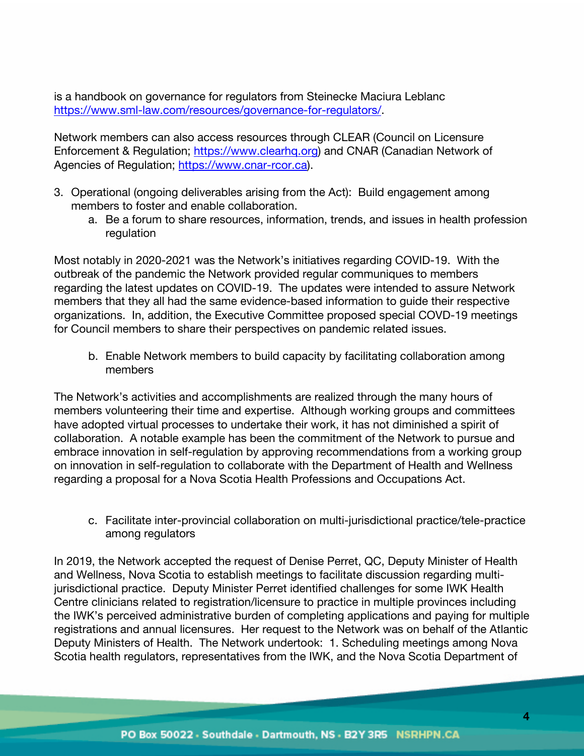is a handbook on governance for regulators from Steinecke Maciura Leblanc https://www.sml-law.com/resources/governance-for-regulators/.

Network members can also access resources through CLEAR (Council on Licensure Enforcement & Regulation; https://www.clearhq.org) and CNAR (Canadian Network of Agencies of Regulation; https://www.cnar-rcor.ca).

- 3. Operational (ongoing deliverables arising from the Act): Build engagement among members to foster and enable collaboration.
	- a. Be a forum to share resources, information, trends, and issues in health profession regulation

Most notably in 2020-2021 was the Network's initiatives regarding COVID-19. With the outbreak of the pandemic the Network provided regular communiques to members regarding the latest updates on COVID-19. The updates were intended to assure Network members that they all had the same evidence-based information to guide their respective organizations. In, addition, the Executive Committee proposed special COVD-19 meetings for Council members to share their perspectives on pandemic related issues.

b. Enable Network members to build capacity by facilitating collaboration among members

The Network's activities and accomplishments are realized through the many hours of members volunteering their time and expertise. Although working groups and committees have adopted virtual processes to undertake their work, it has not diminished a spirit of collaboration. A notable example has been the commitment of the Network to pursue and embrace innovation in self-regulation by approving recommendations from a working group on innovation in self-regulation to collaborate with the Department of Health and Wellness regarding a proposal for a Nova Scotia Health Professions and Occupations Act.

c. Facilitate inter-provincial collaboration on multi-jurisdictional practice/tele-practice among regulators

In 2019, the Network accepted the request of Denise Perret, QC, Deputy Minister of Health and Wellness, Nova Scotia to establish meetings to facilitate discussion regarding multijurisdictional practice. Deputy Minister Perret identified challenges for some IWK Health Centre clinicians related to registration/licensure to practice in multiple provinces including the IWK's perceived administrative burden of completing applications and paying for multiple registrations and annual licensures. Her request to the Network was on behalf of the Atlantic Deputy Ministers of Health. The Network undertook: 1. Scheduling meetings among Nova Scotia health regulators, representatives from the IWK, and the Nova Scotia Department of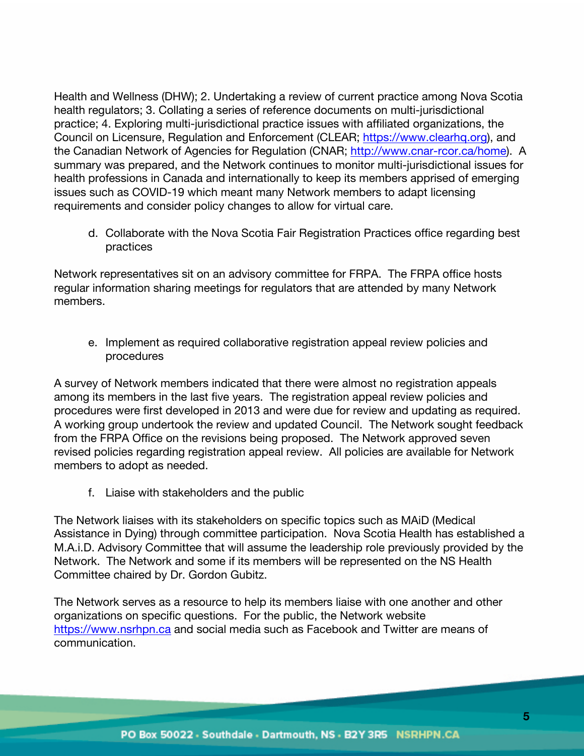Health and Wellness (DHW); 2. Undertaking a review of current practice among Nova Scotia health regulators; 3. Collating a series of reference documents on multi-jurisdictional practice; 4. Exploring multi-jurisdictional practice issues with affiliated organizations, the Council on Licensure, Regulation and Enforcement (CLEAR; https://www.clearhq.org), and the Canadian Network of Agencies for Regulation (CNAR; http://www.cnar-rcor.ca/home). A summary was prepared, and the Network continues to monitor multi-jurisdictional issues for health professions in Canada and internationally to keep its members apprised of emerging issues such as COVID-19 which meant many Network members to adapt licensing requirements and consider policy changes to allow for virtual care.

d. Collaborate with the Nova Scotia Fair Registration Practices office regarding best practices

Network representatives sit on an advisory committee for FRPA. The FRPA office hosts regular information sharing meetings for regulators that are attended by many Network members.

e. Implement as required collaborative registration appeal review policies and procedures

A survey of Network members indicated that there were almost no registration appeals among its members in the last five years. The registration appeal review policies and procedures were first developed in 2013 and were due for review and updating as required. A working group undertook the review and updated Council. The Network sought feedback from the FRPA Office on the revisions being proposed. The Network approved seven revised policies regarding registration appeal review. All policies are available for Network members to adopt as needed.

f. Liaise with stakeholders and the public

The Network liaises with its stakeholders on specific topics such as MAiD (Medical Assistance in Dying) through committee participation. Nova Scotia Health has established a M.A.i.D. Advisory Committee that will assume the leadership role previously provided by the Network. The Network and some if its members will be represented on the NS Health Committee chaired by Dr. Gordon Gubitz.

The Network serves as a resource to help its members liaise with one another and other organizations on specific questions. For the public, the Network website https://www.nsrhpn.ca and social media such as Facebook and Twitter are means of communication.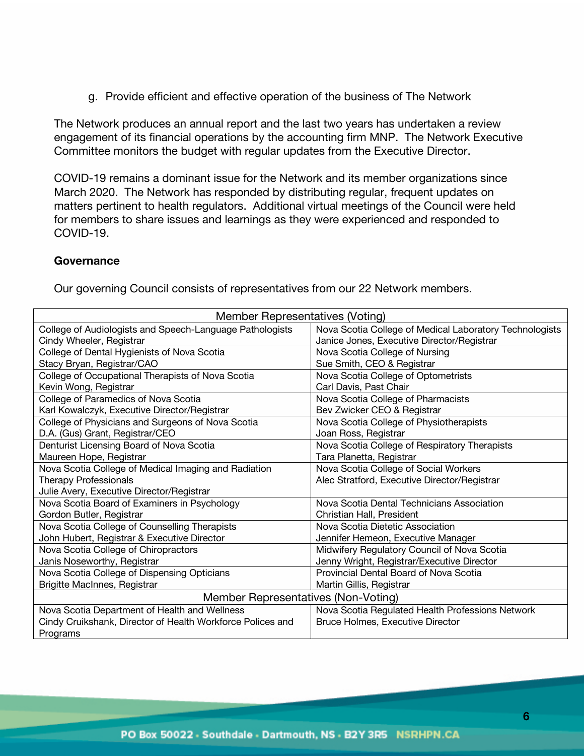g. Provide efficient and effective operation of the business of The Network

The Network produces an annual report and the last two years has undertaken a review engagement of its financial operations by the accounting firm MNP. The Network Executive Committee monitors the budget with regular updates from the Executive Director.

COVID-19 remains a dominant issue for the Network and its member organizations since March 2020. The Network has responded by distributing regular, frequent updates on matters pertinent to health regulators. Additional virtual meetings of the Council were held for members to share issues and learnings as they were experienced and responded to COVID-19.

## **Governance**

Our governing Council consists of representatives from our 22 Network members.

| Member Representatives (Voting)                                                                |                                                         |  |
|------------------------------------------------------------------------------------------------|---------------------------------------------------------|--|
| College of Audiologists and Speech-Language Pathologists                                       | Nova Scotia College of Medical Laboratory Technologists |  |
| Janice Jones, Executive Director/Registrar<br>Cindy Wheeler, Registrar                         |                                                         |  |
| College of Dental Hygienists of Nova Scotia<br>Nova Scotia College of Nursing                  |                                                         |  |
| Sue Smith, CEO & Registrar<br>Stacy Bryan, Registrar/CAO                                       |                                                         |  |
| College of Occupational Therapists of Nova Scotia                                              | Nova Scotia College of Optometrists                     |  |
| Kevin Wong, Registrar<br>Carl Davis, Past Chair                                                |                                                         |  |
| College of Paramedics of Nova Scotia                                                           | Nova Scotia College of Pharmacists                      |  |
| Karl Kowalczyk, Executive Director/Registrar                                                   | Bev Zwicker CEO & Registrar                             |  |
| College of Physicians and Surgeons of Nova Scotia                                              | Nova Scotia College of Physiotherapists                 |  |
| D.A. (Gus) Grant, Registrar/CEO                                                                | Joan Ross, Registrar                                    |  |
| Denturist Licensing Board of Nova Scotia                                                       | Nova Scotia College of Respiratory Therapists           |  |
| Maureen Hope, Registrar                                                                        | Tara Planetta, Registrar                                |  |
| Nova Scotia College of Medical Imaging and Radiation                                           | Nova Scotia College of Social Workers                   |  |
| <b>Therapy Professionals</b><br>Alec Stratford, Executive Director/Registrar                   |                                                         |  |
| Julie Avery, Executive Director/Registrar                                                      |                                                         |  |
| Nova Scotia Board of Examiners in Psychology<br>Nova Scotia Dental Technicians Association     |                                                         |  |
| Gordon Butler, Registrar                                                                       | Christian Hall, President                               |  |
| Nova Scotia College of Counselling Therapists                                                  | Nova Scotia Dietetic Association                        |  |
| John Hubert, Registrar & Executive Director                                                    | Jennifer Hemeon, Executive Manager                      |  |
| Nova Scotia College of Chiropractors                                                           | Midwifery Regulatory Council of Nova Scotia             |  |
| Janis Noseworthy, Registrar                                                                    | Jenny Wright, Registrar/Executive Director              |  |
| Nova Scotia College of Dispensing Opticians                                                    | Provincial Dental Board of Nova Scotia                  |  |
| Brigitte MacInnes, Registrar                                                                   | Martin Gillis, Registrar                                |  |
| Member Representatives (Non-Voting)                                                            |                                                         |  |
| Nova Scotia Department of Health and Wellness                                                  | Nova Scotia Regulated Health Professions Network        |  |
| Cindy Cruikshank, Director of Health Workforce Polices and<br>Bruce Holmes, Executive Director |                                                         |  |
| Programs                                                                                       |                                                         |  |